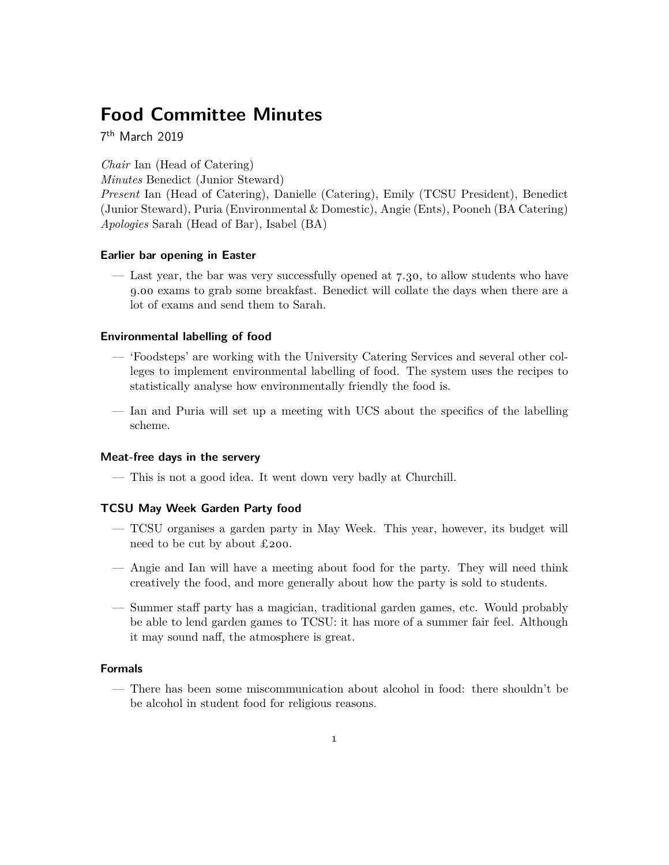# **Food Committee Minutes**

7 th March 2019

*Chair* Ian (Head of Catering)

*Minutes* Benedict (Junior Steward)

*Present* Ian (Head of Catering), Danielle (Catering), Emily (TCSU President), Benedict (Junior Steward), Puria (Environmental & Domestic), Angie (Ents), Pooneh (BA Catering) *Apologies* Sarah (Head of Bar), Isabel (BA)

### **Earlier bar opening in Easter**

— Last year, the bar was very successfully opened at 7.30, to allow students who have 9.00 exams to grab some breakfast. Benedict will collate the days when there are a lot of exams and send them to Sarah.

## **Environmental labelling of food**

- 'Foodsteps' are working with the University Catering Services and several other colleges to implement environmental labelling of food. The system uses the recipes to statistically analyse how environmentally friendly the food is.
- Ian and Puria will set up a meeting with UCS about the specifics of the labelling scheme.

# **Meat-free days in the servery**

— This is not a good idea. It went down very badly at Churchill.

## **TCSU May Week Garden Party food**

- TCSU organises a garden party in May Week. This year, however, its budget will need to be cut by about £200.
- Angie and Ian will have a meeting about food for the party. They will need think creatively the food, and more generally about how the party is sold to students.
- Summer staff party has a magician, traditional garden games, etc. Would probably be able to lend garden games to TCSU: it has more of a summer fair feel. Although it may sound naff, the atmosphere is great.

### **Formals**

— There has been some miscommunication about alcohol in food: there shouldn't be be alcohol in student food for religious reasons.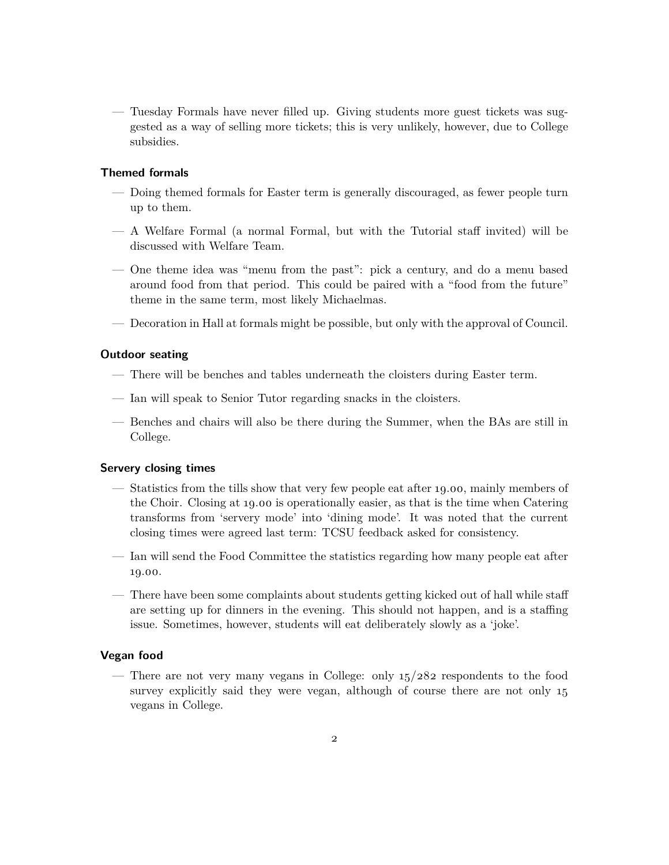— Tuesday Formals have never filled up. Giving students more guest tickets was suggested as a way of selling more tickets; this is very unlikely, however, due to College subsidies.

# **Themed formals**

- Doing themed formals for Easter term is generally discouraged, as fewer people turn up to them.
- A Welfare Formal (a normal Formal, but with the Tutorial staff invited) will be discussed with Welfare Team.
- One theme idea was "menu from the past": pick a century, and do a menu based around food from that period. This could be paired with a "food from the future" theme in the same term, most likely Michaelmas.
- Decoration in Hall at formals might be possible, but only with the approval of Council.

# **Outdoor seating**

- There will be benches and tables underneath the cloisters during Easter term.
- Ian will speak to Senior Tutor regarding snacks in the cloisters.
- Benches and chairs will also be there during the Summer, when the BAs are still in College.

#### **Servery closing times**

- Statistics from the tills show that very few people eat after 19.00, mainly members of the Choir. Closing at 19.00 is operationally easier, as that is the time when Catering transforms from 'servery mode' into 'dining mode'. It was noted that the current closing times were agreed last term: TCSU feedback asked for consistency.
- Ian will send the Food Committee the statistics regarding how many people eat after 19.00.
- There have been some complaints about students getting kicked out of hall while staff are setting up for dinners in the evening. This should not happen, and is a staffing issue. Sometimes, however, students will eat deliberately slowly as a 'joke'.

# **Vegan food**

— There are not very many vegans in College: only  $15/282$  respondents to the food survey explicitly said they were vegan, although of course there are not only  $15$ vegans in College.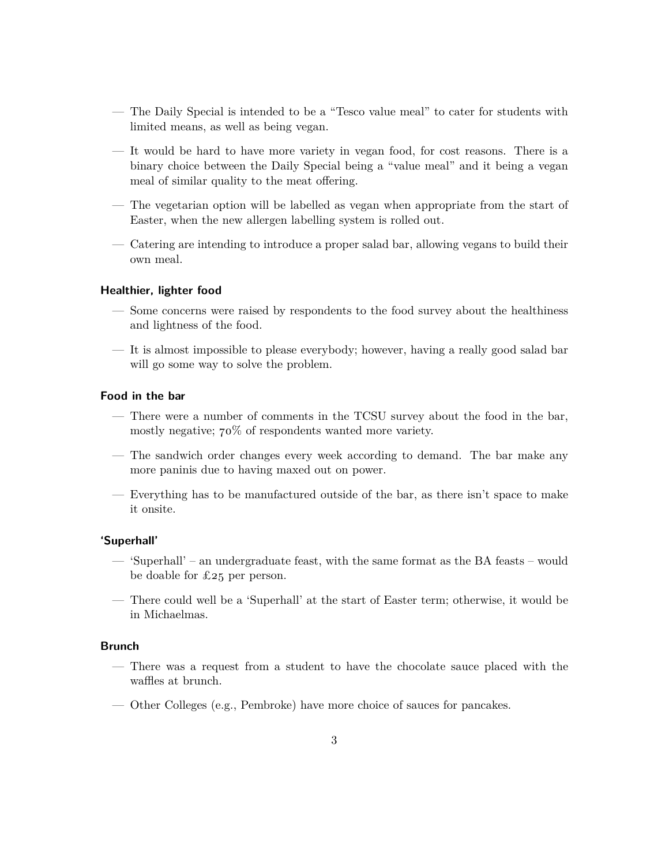- The Daily Special is intended to be a "Tesco value meal" to cater for students with limited means, as well as being vegan.
- It would be hard to have more variety in vegan food, for cost reasons. There is a binary choice between the Daily Special being a "value meal" and it being a vegan meal of similar quality to the meat offering.
- The vegetarian option will be labelled as vegan when appropriate from the start of Easter, when the new allergen labelling system is rolled out.
- Catering are intending to introduce a proper salad bar, allowing vegans to build their own meal.

#### **Healthier, lighter food**

- Some concerns were raised by respondents to the food survey about the healthiness and lightness of the food.
- It is almost impossible to please everybody; however, having a really good salad bar will go some way to solve the problem.

# **Food in the bar**

- There were a number of comments in the TCSU survey about the food in the bar, mostly negative; 70% of respondents wanted more variety.
- The sandwich order changes every week according to demand. The bar make any more paninis due to having maxed out on power.
- Everything has to be manufactured outside of the bar, as there isn't space to make it onsite.

#### **'Superhall'**

- 'Superhall' an undergraduate feast, with the same format as the BA feasts would be doable for £25 per person.
- There could well be a 'Superhall' at the start of Easter term; otherwise, it would be in Michaelmas.

## **Brunch**

- There was a request from a student to have the chocolate sauce placed with the waffles at brunch.
- Other Colleges (e.g., Pembroke) have more choice of sauces for pancakes.